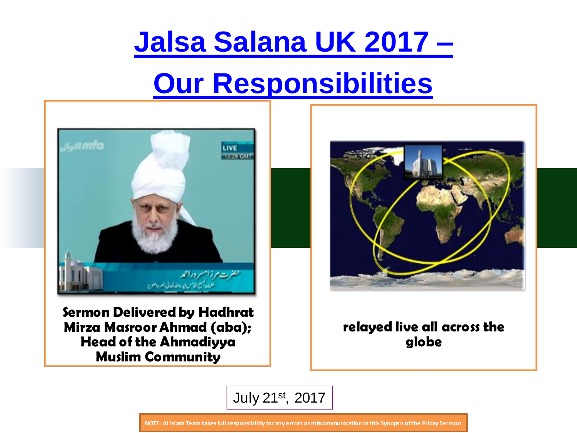## **Jalsa Salana UK 2017 –**

## **Our Responsibilities**



**Sermon Delivered by Hadhrat Mirza Masroor Ahmad (aba); Head of the Ahmadiyya Muslim Community** 



#### **relayed live all across the globe**



**NOTE: Al Islam Team takes full responsibility for any errors or miscommunication in this Synopsis of the Friday Sermon**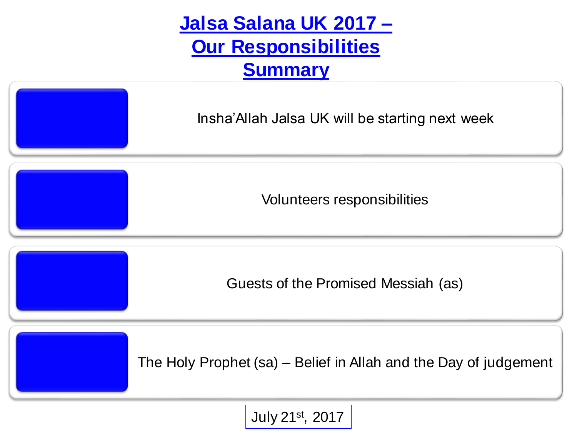**Jalsa Salana UK 2017 – Our Responsibilities Summary**

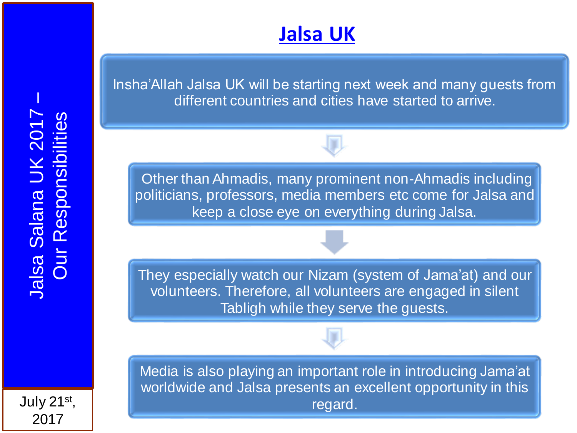### **Jalsa UK**

Insha'Allah Jalsa UK will be starting next week and many guests from different countries and cities have started to arrive.

Other than Ahmadis, many prominent non-Ahmadis including politicians, professors, media members etc come for Jalsa and keep a close eye on everything during Jalsa.

They especially watch our Nizam (system of Jama'at) and our volunteers. Therefore, all volunteers are engaged in silent Tabligh while they serve the guests.

Media is also playing an important role in introducing Jama'at worldwide and Jalsa presents an excellent opportunity in this regard.

July 21st ,

2017

–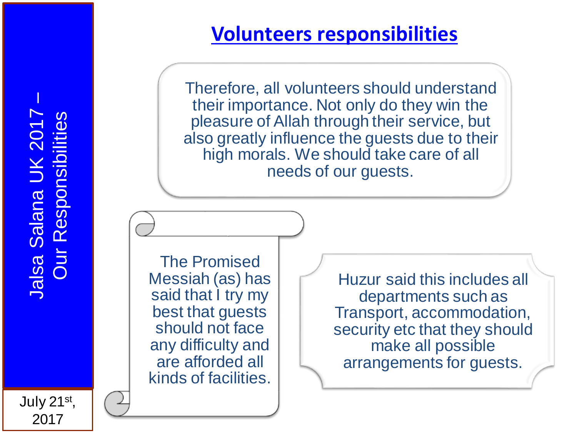# Jalsa Salana UK 2017 **Dur Responsibilities** Our Responsibilities Jalsa Salana UK 201

–

### **Volunteers responsibilities**

Therefore, all volunteers should understand their importance. Not only do they win the pleasure of Allah through their service, but also greatly influence the guests due to their high morals. We should take care of all needs of our guests.

The Promised Messiah (as) has said that I try my best that guests should not face any difficulty and are afforded all kinds of facilities.

Huzur said this includes all departments such as Transport, accommodation, security etc that they should make all possible arrangements for guests.

July 21st , 2017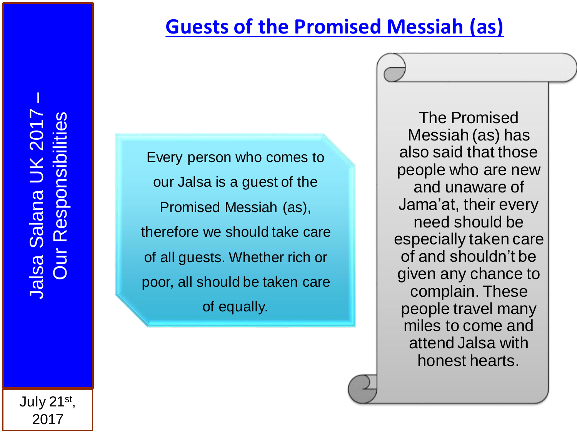### **Guests of the Promised Messiah (as)**

–

Every person who comes to our Jalsa is a guest of the Promised Messiah (as), therefore we should take care of all guests. Whether rich or poor, all should be taken care of equally.

The Promised Messiah (as) has also said that those people who are new and unaware of Jama'at, their every need should be especially taken care of and shouldn't be given any chance to complain. These people travel many miles to come and attend Jalsa with honest hearts.

July 21st , 2017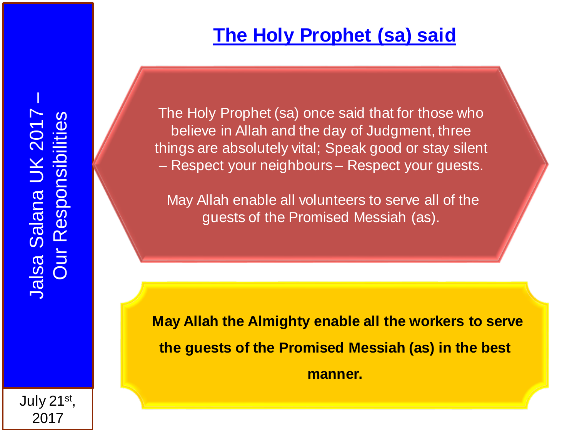July 21st ,

2017

–

### **The Holy Prophet (sa) said**

The Holy Prophet (sa) once said that for those who believe in Allah and the day of Judgment, three things are absolutely vital; Speak good or stay silent – Respect your neighbours – Respect your guests.

May Allah enable all volunteers to serve all of the guests of the Promised Messiah (as).

**May Allah the Almighty enable all the workers to serve the guests of the Promised Messiah (as) in the best manner.**